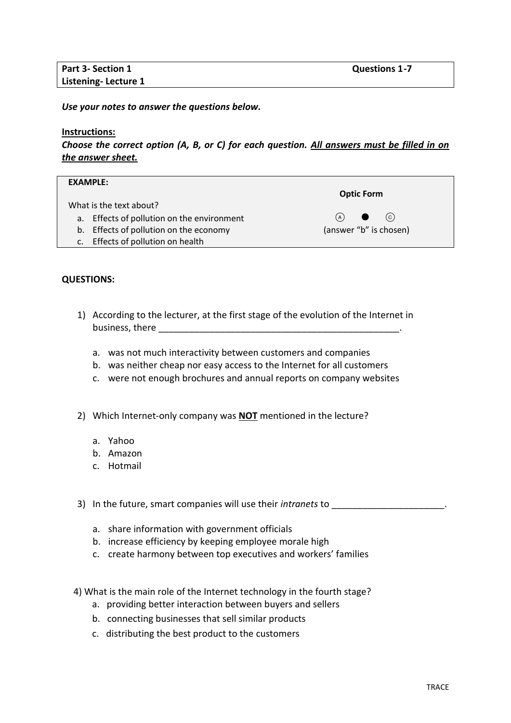*Use your notes to answer the questions below.* 

## **Instructions:**

*Choose the correct option (A, B, or C) for each question. All answers must be filled in on the answer sheet.*

| <b>EXAMPLE:</b>                            |                        |
|--------------------------------------------|------------------------|
|                                            | <b>Optic Form</b>      |
| What is the text about?                    |                        |
| a. Effects of pollution on the environment | (c)<br>(A)             |
| b. Effects of pollution on the economy     | (answer "b" is chosen) |
| c. Effects of pollution on health          |                        |

## **QUESTIONS:**

- 1) According to the lecturer, at the first stage of the evolution of the Internet in business, there **we are the set of the set of the set of the set of the set of the set of the set of the set of the set of the set of the set of the set of the set of the set of the set of the set of the set of the set of** 
	- a. was not much interactivity between customers and companies
	- b. was neither cheap nor easy access to the Internet for all customers
	- c. were not enough brochures and annual reports on company websites
- 2) Which Internet-only company was **NOT** mentioned in the lecture?
	- a. Yahoo
	- b. Amazon
	- c. Hotmail

3) In the future, smart companies will use their *intranets* to \_\_\_\_\_\_\_\_\_\_\_\_\_\_\_\_\_\_\_\_\_\_.

- a. share information with government officials
- b. increase efficiency by keeping employee morale high
- c. create harmony between top executives and workers' families
- 4) What is the main role of the Internet technology in the fourth stage?
	- a. providing better interaction between buyers and sellers
	- b. connecting businesses that sell similar products
	- c. distributing the best product to the customers